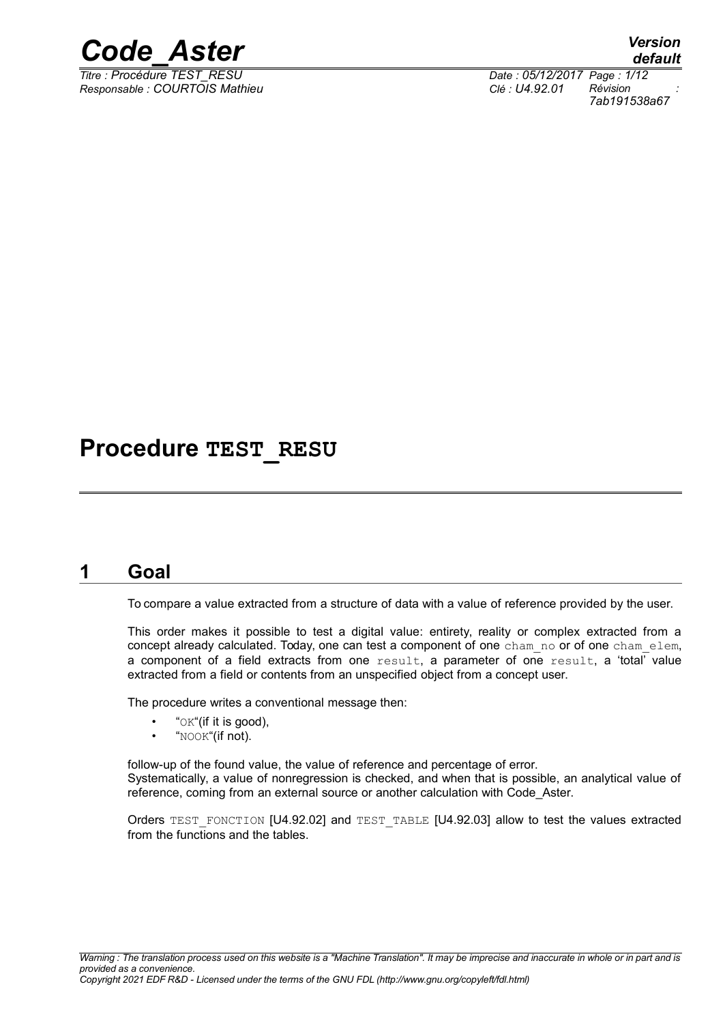

*Responsable : COURTOIS Mathieu Clé : U4.92.01 Révision :*

*default Titre : Procédure TEST\_RESU Date : 05/12/2017 Page : 1/12 7ab191538a67*

## **Procedure TEST\_RESU**

## **1 Goal**

To compare a value extracted from a structure of data with a value of reference provided by the user.

This order makes it possible to test a digital value: entirety, reality or complex extracted from a concept already calculated. Today, one can test a component of one cham no or of one cham elem, a component of a field extracts from one result, a parameter of one result, a 'total' value extracted from a field or contents from an unspecified object from a concept user.

The procedure writes a conventional message then:

- "OK"(if it is good),
- "NOOK"(if not).

follow-up of the found value, the value of reference and percentage of error. Systematically, a value of nonregression is checked, and when that is possible, an analytical value of reference, coming from an external source or another calculation with Code\_Aster.

Orders TEST\_FONCTION [U4.92.02] and TEST\_TABLE [U4.92.03] allow to test the values extracted from the functions and the tables.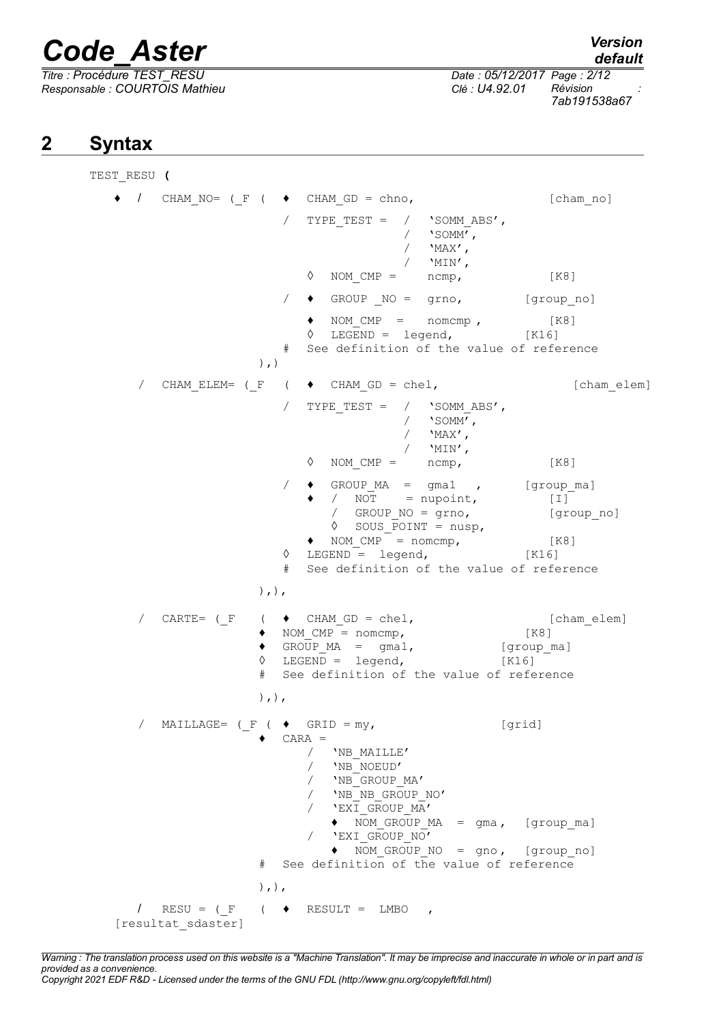*Titre : Procédure TEST\_RESU Date : 05/12/2017 Page : 2/12 Responsable : COURTOIS Mathieu Clé : U4.92.01 Révision :*

*7ab191538a67*

## **2 Syntax**

TEST\_RESU **(** ♦ / CHAM\_NO= (\_F ( ♦ CHAM\_GD = chno, [cham\_no] / TYPE TEST =  $/$  'SOMM ABS', / 'SOMM',  $/$  'MAX',  $/$  'MIN',  $\Diamond$  NOM CMP = ncmp, [K8]  $/ \bullet$  GROUP NO = grno, [group no]  $\bullet$  NOM CMP = nomcmp, [K8]  $\sqrt[3]{\text{LEGEND}} = \text{legend},$  [K16] # See definition of the value of reference ),) / CHAM\_ELEM= (F ( ♦ CHAM\_GD = chel, [cham\_elem] / TYPE TEST =  $/$  'SOMM ABS',  $\sqrt{SOMM'}$ ,  $/$  'MAX',  $/$  'MIN',  $\Diamond$  NOM CMP = ncmp, [K8]  $/ \bullet$  GROUP MA = gma1 , [group ma]  $/$  NOT = nupoint,  $[I]$ / GROUP NO = grno, [group no]  $\Diamond$  SOUS POINT = nusp,  $\bullet$  NOM  $CMP$  = nomcmp, [K8]  $\sqrt[6]{\text{LEGEND}} = \text{legend},$  [K16] See definition of the value of reference ),), /  $CARTE = (F \leftrightarrow CHAM GD = chel,$  [chamelem]  $\bullet$  NOM CMP = nomcmp, [K8]  $\bullet$  GROUP MA = qma1, [group ma] ↑ Price\_part game,<br>↓ LEGEND = legend, [K16] # See definition of the value of reference ),), / MAILLAGE=  $(F ( \bullet \text{ GRID} = my,$  [grid]  $\triangleleft$  CARA = / 'NB\_MAILLE' / 'NB\_NOEUD' / 'NB\_GROUP\_MA' / 'NB\_NB\_GROUP\_NO' 'EXI\_GROUP\_MA'  $\bullet$  NOM GROUP MA = gma, [group\_ma] 'EXI\_GROUP\_NO'  $\bullet$  NOM GROUP NO = gno, [group\_no] # See definition of the value of reference  $),$ ),  $/$  RESU = (F (  $\blacklozenge$  RESULT = LMBO , [resultat sdaster]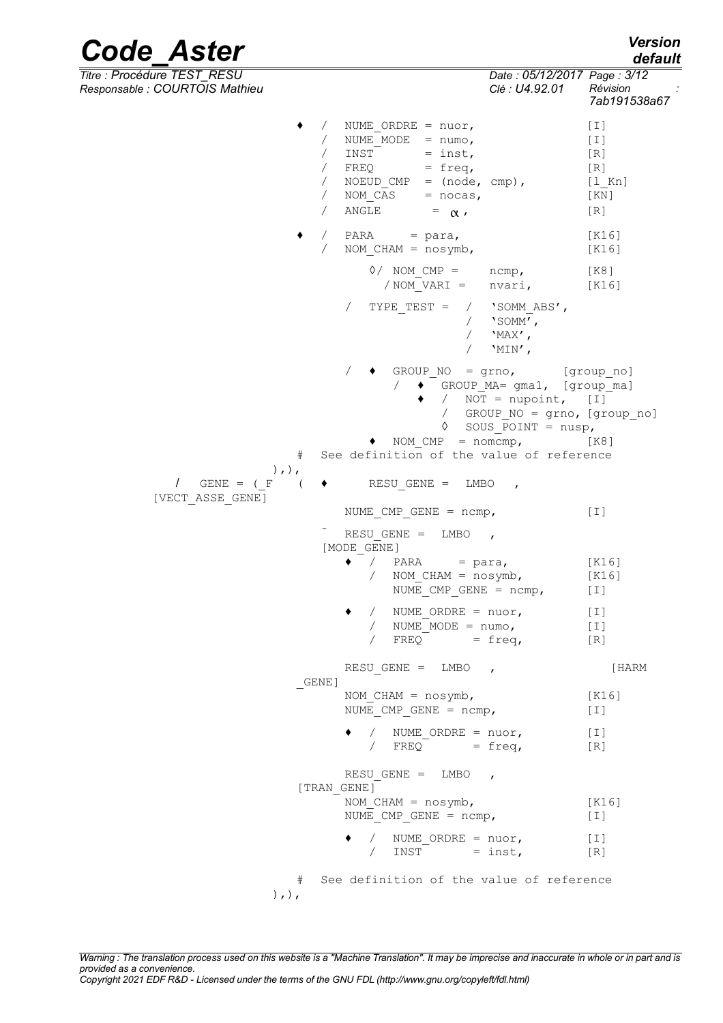*default*

*Code\_Aster Version Titre : Procédure TEST\_RESU Date : 05/12/2017 Page : 3/12 Responsable : COURTOIS Mathieu Clé : U4.92.01 Révision :*

> *7ab191538a67* / NUME ORDRE = nuor, [I]  $\text{/}$  NUME MODE = numo,  $\begin{bmatrix} 1 \end{bmatrix}$  $\begin{array}{ccc} \text{/} & \text{INST} & = \text{inst}, & \text{[R]} \\ \text{/} & \text{FRED} & = \text{freq}, & \text{[R]} \end{array}$ = freq, [R]<br>= (node, cmp), [1 Kn] / NOEUD CMP =  $(node, cmp)$ , / NOM  $\overline{CAS}$  = nocas,  $[K\overline{N}]$ / ANGLE  $= \alpha$ ,  $[R]$  $\bullet$  / PARA = para, [K16] / NOM CHAM = nosymb, [K16]  $\sqrt[6]{}$  NOM CMP = ncmp, [K8]  $/ NOM$  VARI = nvari, [K16] TYPE TEST =  $/$  'SOMM ABS',  $\sqrt{SOMM'}$ ,  $/$  'MAX',  $\sqrt{2}$  'MIN',  $GROUP NO = grno,$  [group no]  $/$   $\bullet$  GROUP MA= gma1, [group ma]  $\bullet$  / NOT = nupoint,  $[1]$ / GROUP\_NO = grno, [group\_no]  $\Diamond$  SOUS POINT = nusp,  $\bullet$  NOM CMP = nomcmp, [K8] # See definition of the value of reference  $)$ ,  $)$ ,  $\sqrt{GENE} = (F \times \text{A} E-SU GENE = LMBO)$ [VECT\_ASSE\_GENE] NUME CMP GENE =  $ncmp,$  [I] RESU GENE =  $LMBO$  , [MODE\_GENE]  $\bullet$  / PARA = para, [K16] / NOM CHAM =  $nosymb$ , [K16] NUME CMP GENE =  $ncmp,$  [I]  $\text{/}$  NUME ORDRE = nuor, [I] /  $NUME-MODE = numo,$  [I]  $/$  FREQ = freq,  $[R]$ RESUGENE = LMBO , [HARM \_GENE] NOM  $CHAM = nosymb,$  [K16] NUME CMP GENE =  $ncmp,$  [I] / NUME ORDRE = nuor, [I]  $/$  FREQ = freq,  $[R]$ RESU GENE =  $LMBO$  , [TRAN\_GENE] NOM CHAM = nosymb, [K16] NUME CMP GENE =  $ncmp,$  [I] / NUME ORDRE = nuor, [I]  $/$  INST = inst,  $[R]$ # See definition of the value of reference  $),$ ,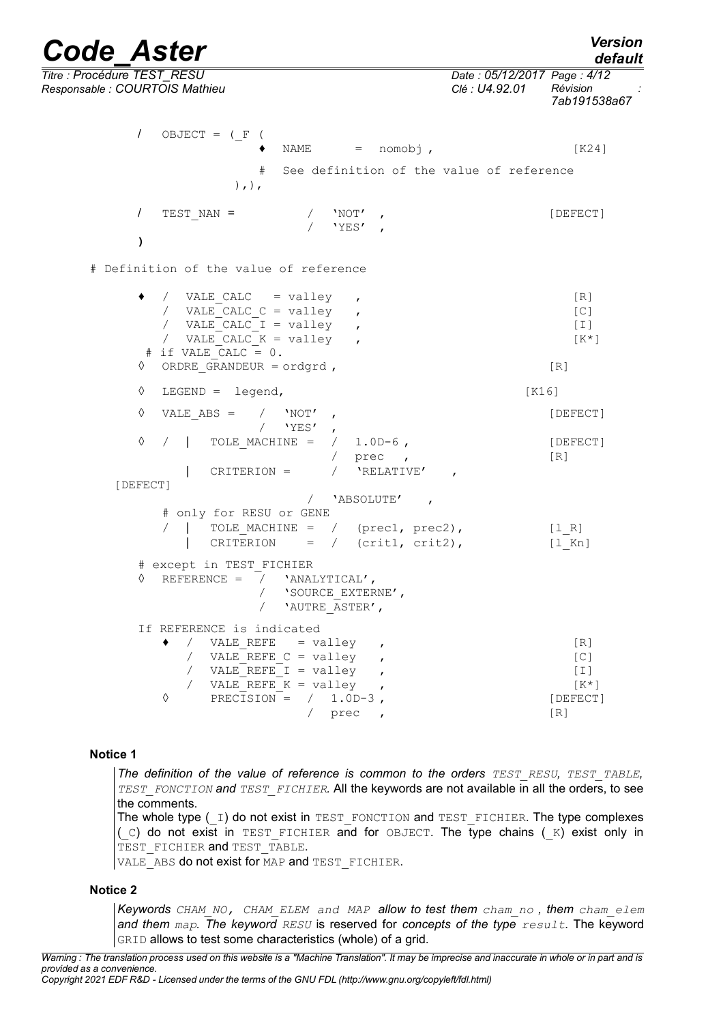| <b>Code Aster</b>                                             |                                                                                                                                                                                                                                                              |                                               | <b>Version</b><br>default                                          |
|---------------------------------------------------------------|--------------------------------------------------------------------------------------------------------------------------------------------------------------------------------------------------------------------------------------------------------------|-----------------------------------------------|--------------------------------------------------------------------|
| Titre : Procédure TEST RESU<br>Responsable : COURTOIS Mathieu |                                                                                                                                                                                                                                                              | Date: 05/12/2017 Page: 4/12<br>Clé : U4.92.01 | Révision<br>7ab191538a67                                           |
| $\prime$                                                      | $OBJECT = (F$<br>NAME $=$ nomobj,                                                                                                                                                                                                                            |                                               | [K24]                                                              |
|                                                               | See definition of the value of reference<br>#<br>$),$ , $)$ ,                                                                                                                                                                                                |                                               |                                                                    |
| $\prime$<br>$\lambda$                                         | TEST NAN =<br>'NOT'<br>'YES'                                                                                                                                                                                                                                 |                                               | [DEFECT]                                                           |
|                                                               | # Definition of the value of reference                                                                                                                                                                                                                       |                                               |                                                                    |
|                                                               | / VALE CALC = valley<br>$\mathbf{r}$<br>/ VALE CALC C = valley<br>$\mathbf{r}$<br>/ VALE CALC I = valley<br>$\mathbf{r}$<br>/ VALE CALC K = valley<br>$\mathbf{r}$<br># if VALE CALC = 0.                                                                    |                                               | [R]<br>[C]<br>$[1]$<br>$[K^{\star}]$                               |
| ♦                                                             | ORDRE GRANDEUR = ordgrd,                                                                                                                                                                                                                                     |                                               | [R]                                                                |
| ♦                                                             | $LEGEND = legend,$                                                                                                                                                                                                                                           | [K16]                                         |                                                                    |
| ♦                                                             | VALE $ABS =$<br>'NOT'<br>$\sqrt{2}$<br>$\mathbf{r}$<br>$\sqrt{2}$<br>'YES'                                                                                                                                                                                   |                                               | [DEFECT]                                                           |
| ♦                                                             | TOLE MACHINE =<br>$/ 1.0D-6$ ,<br>prec,<br>$\sqrt{2}$<br>$\sqrt{2}$<br>'RELATIVE'<br>CRITERION =                                                                                                                                                             | $\mathbf{r}$                                  | [DEFECT]<br>[R]                                                    |
| [DEFECT]                                                      |                                                                                                                                                                                                                                                              |                                               |                                                                    |
|                                                               | / 'ABSOLUTE',<br># only for RESU or GENE<br>TOLE MACHINE = $/$ (prec1, prec2),<br>$\sqrt{2}$<br>CRITERION = $/$ (crit1, crit2),                                                                                                                              |                                               | [1 R]<br>$[1$ Kn]                                                  |
|                                                               | # except in TEST FICHIER<br>$\Diamond$ REFERENCE = / $'$ ANALYTICAL',<br>'SOURCE EXTERNE',<br>'AUTRE ASTER',                                                                                                                                                 |                                               |                                                                    |
|                                                               | If REFERENCE is indicated<br>VALE REFE = valley<br>$\sqrt{2}$<br>$\mathbf{r}$<br>VALE REFE C = valley<br>$\mathbf{r}$<br>VALE REFE I = valley<br>$\sqrt{2}$<br>VALE REFE K = valley<br>$\mathbf{r}$<br>♦<br>PRECISION = $/ 1.0D-3$ ,<br>prec<br>$\mathbf{r}$ |                                               | [R]<br>[ <sub>C</sub> ]<br>[T]<br>$[K^{\star}]$<br>[DEFECT]<br>[R] |

#### **Notice 1**

*The definition of the value of reference is common to the orders TEST\_RESU, TEST\_TABLE, TEST\_FONCTION and TEST\_FICHIER.* All the keywords are not available in all the orders, to see the comments.

The whole type  $(I)$  do not exist in TEST\_FONCTION and TEST\_FICHIER. The type complexes ( $C$ ) do not exist in TEST FICHIER and for OBJECT. The type chains ( $K$ ) exist only in TEST FICHIER and TEST TABLE.

VALE ABS do not exist for MAP and TEST FICHIER.

#### **Notice 2**

*Keywords CHAM\_NO, CHAM\_ELEM and MAP allow to test them cham\_no , them cham\_elem and them map. The keyword RESU* is reserved for *concepts of the type result.* The keyword GRID allows to test some characteristics (whole) of a grid.

*Warning : The translation process used on this website is a "Machine Translation". It may be imprecise and inaccurate in whole or in part and is provided as a convenience.*

#### *Copyright 2021 EDF R&D - Licensed under the terms of the GNU FDL (http://www.gnu.org/copyleft/fdl.html)*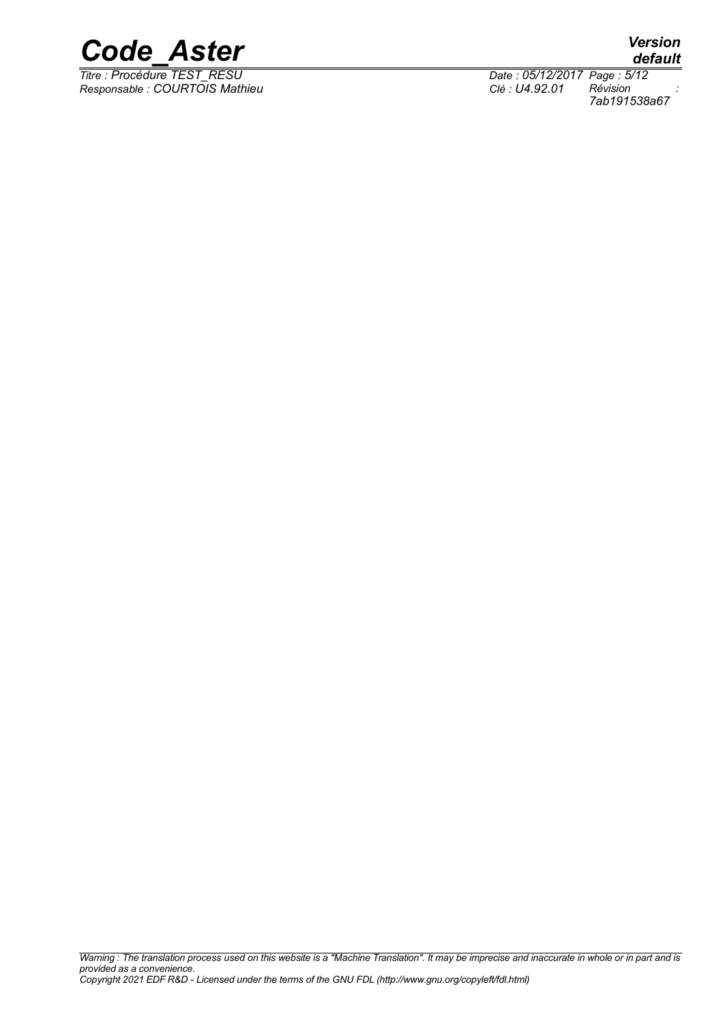

*Titre : Procédure TEST\_RESU Date : 05/12/2017 Page : 5/12 Responsable : COURTOIS Mathieu Clé : U4.92.01 Révision :*

*7ab191538a67*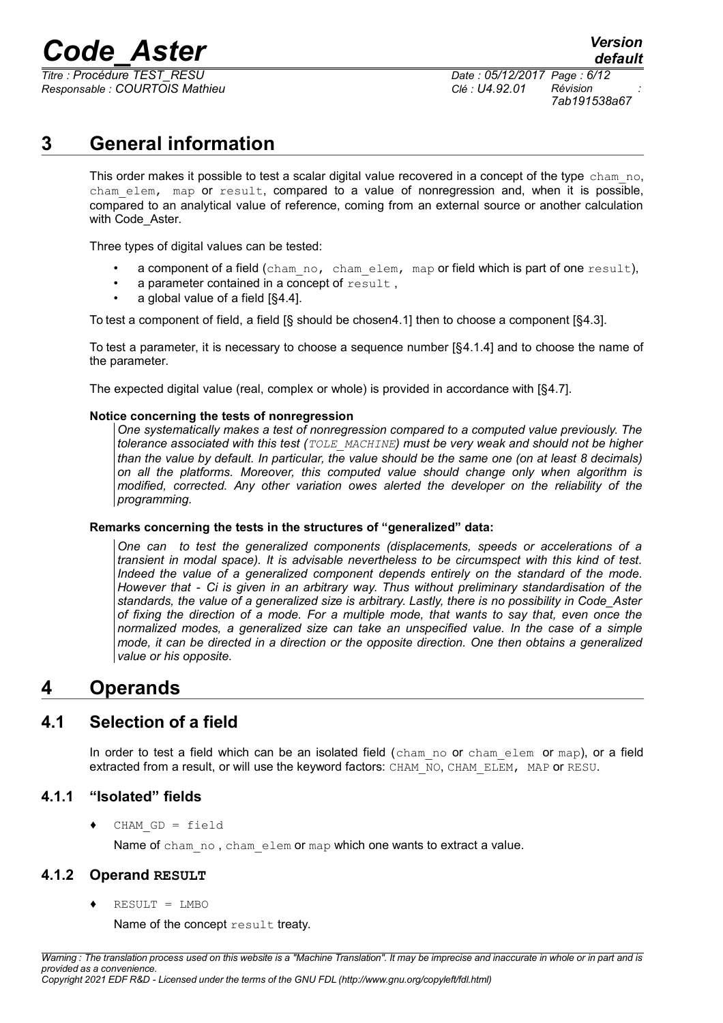*Responsable : COURTOIS Mathieu Clé : U4.92.01 Révision :*

*Titre : Procédure TEST\_RESU Date : 05/12/2017 Page : 6/12 7ab191538a67*

## **3 General information**

This order makes it possible to test a scalar digital value recovered in a concept of the type cham no, cham elem, map or result, compared to a value of nonregression and, when it is possible, compared to an analytical value of reference, coming from an external source or another calculation with Code Aster.

Three types of digital values can be tested:

- a component of a field (cham no, chamelem, map or field which is part of one result),
- a parameter contained in a concept of result,
- a global value of a field [[§4.4\]](#page-7-0).

To test a component of field, a field [§ should be chose[n4.1\]](#page-5-0) then to choose a component [[§4.3\]](#page-6-1).

To test a parameter, it is necessary to choose a sequence number [[§4.1.4\]](#page-6-0) and to choose the name of the parameter.

The expected digital value (real, complex or whole) is provided in accordance with [[§4.7\]](#page-8-0).

#### **Notice concerning the tests of nonregression**

*One systematically makes a test of nonregression compared to a computed value previously. The tolerance associated with this test (TOLE\_MACHINE) must be very weak and should not be higher than the value by default. In particular, the value should be the same one (on at least 8 decimals) on all the platforms. Moreover, this computed value should change only when algorithm is modified, corrected. Any other variation owes alerted the developer on the reliability of the programming.*

#### **Remarks concerning the tests in the structures of "generalized" data:**

*One can to test the generalized components (displacements, speeds or accelerations of a transient in modal space). It is advisable nevertheless to be circumspect with this kind of test. Indeed the value of a generalized component depends entirely on the standard of the mode. However that - Ci is given in an arbitrary way. Thus without preliminary standardisation of the standards, the value of a generalized size is arbitrary. Lastly, there is no possibility in Code\_Aster of fixing the direction of a mode. For a multiple mode, that wants to say that, even once the normalized modes, a generalized size can take an unspecified value. In the case of a simple mode, it can be directed in a direction or the opposite direction. One then obtains a generalized value or his opposite.*

## **4 Operands**

## **4.1 Selection of a field**

<span id="page-5-0"></span>In order to test a field which can be an isolated field (cham no or cham elem or map), or a field extracted from a result, or will use the keyword factors: CHAM\_NO, CHAM\_ELEM, MAP or RESU.

#### **4.1.1 "Isolated" fields**

♦ CHAM\_GD = field

Name of cham no, chame lem or map which one wants to extract a value.

#### **4.1.2 Operand RESULT**

 $RESULT = LMBO$ 

Name of the concept result treaty.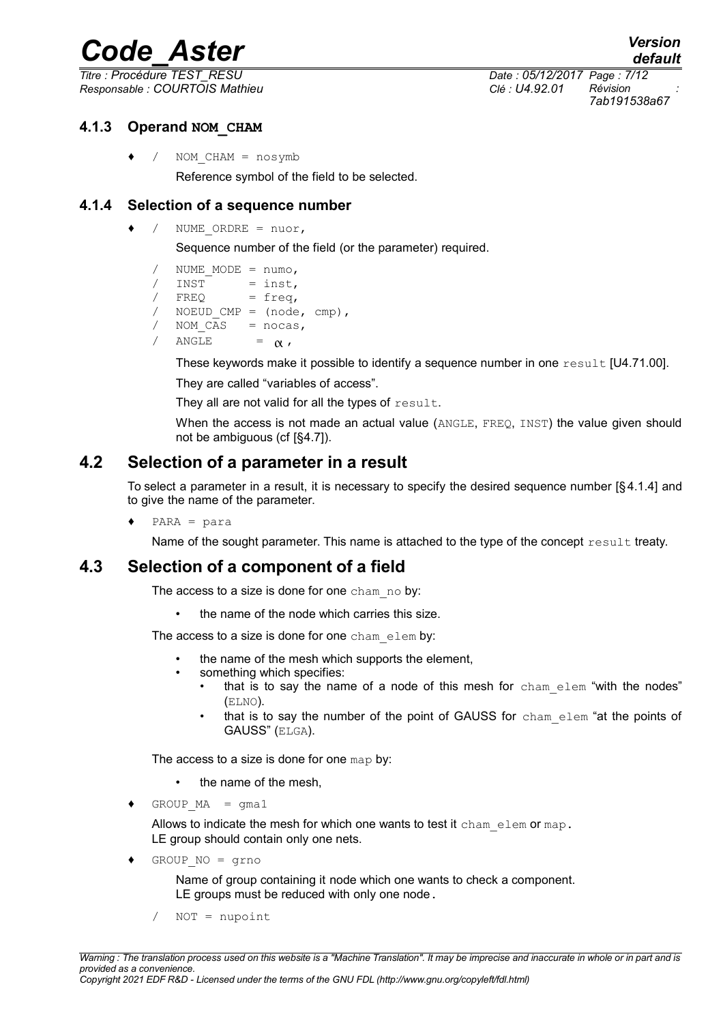*Responsable : COURTOIS Mathieu Clé : U4.92.01 Révision :*

*default Titre : Procédure TEST\_RESU Date : 05/12/2017 Page : 7/12 7ab191538a67*

#### **4.1.3 Operand NOM\_CHAM**

 $NOMCHAM =$  nosymb

Reference symbol of the field to be selected.

#### **4.1.4 Selection of a sequence number**

<span id="page-6-0"></span>/ NUME ORDRE =  $nu$ ,

Sequence number of the field (or the parameter) required.

```
NUME MODE = numo,
/ INST = inst,
/ FREQ = freq,
  NOEUD CMP = (node, cmp),
/ NOM \overline{CAS} = nocas,
  ANGLE = \alpha,
```
These keywords make it possible to identify a sequence number in one result [U4.71.00].

They are called "variables of access".

They all are not valid for all the types of result.

When the access is not made an actual value (ANGLE, FREQ, INST) the value given should not be ambiguous (cf [[§4.7\]](#page-8-0)).

### **4.2 Selection of a parameter in a result**

To select a parameter in a result, it is necessary to specify the desired sequence number [§[4.1.4\]](#page-6-0) and to give the name of the parameter.

 $PARA = para$ 

<span id="page-6-1"></span>Name of the sought parameter. This name is attached to the type of the concept  $result$  treaty.

## **4.3 Selection of a component of a field**

The access to a size is done for one cham no by:

• the name of the node which carries this size.

The access to a size is done for one cham elem by:

- the name of the mesh which supports the element,
- something which specifies:
	- that is to say the name of a node of this mesh for cham elem "with the nodes" (ELNO).
	- that is to say the number of the point of GAUSS for cham elem "at the points of GAUSS" (ELGA).

The access to a size is done for one map by:

- the name of the mesh,
- $GROUPMA = qma1$

Allows to indicate the mesh for which one wants to test it cham elem or map. LE group should contain only one nets.

 $GROUP NO = grno$ 

Name of group containing it node which one wants to check a component. LE groups must be reduced with only one node.

 $NOT = nupoint$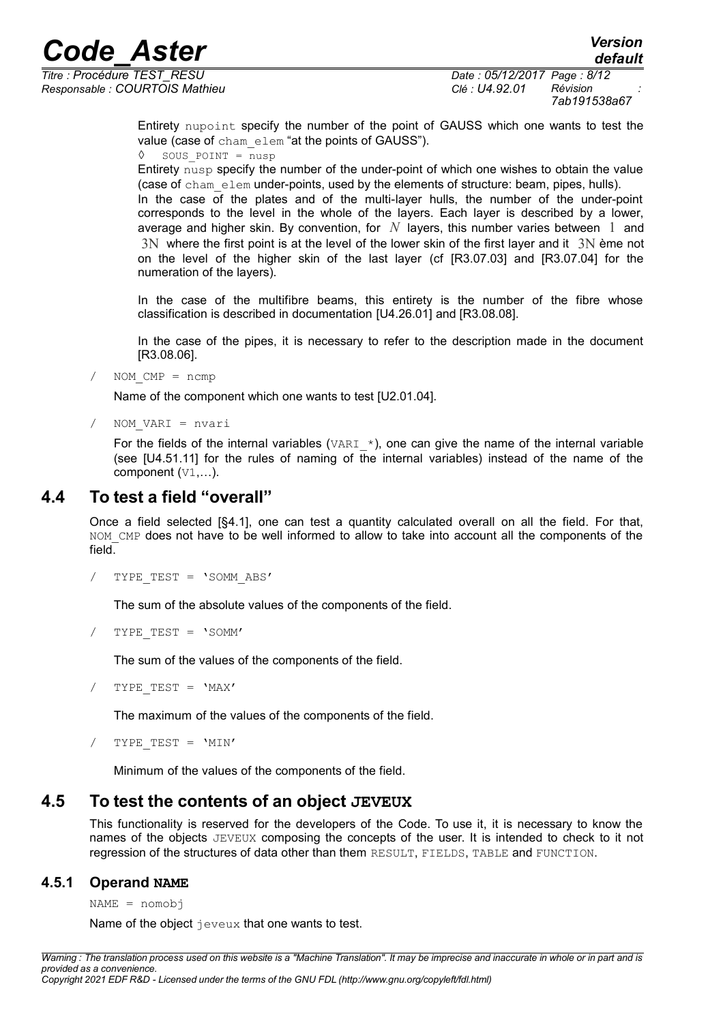*Responsable : COURTOIS Mathieu Clé : U4.92.01 Révision :*

*Titre : Procédure TEST\_RESU Date : 05/12/2017 Page : 8/12 7ab191538a67*

> Entirety nupoint specify the number of the point of GAUSS which one wants to test the value (case of cham elem "at the points of GAUSS").

 $\Diamond$  SOUS POINT = nusp

Entirety nusp specify the number of the under-point of which one wishes to obtain the value (case of cham\_elem under-points, used by the elements of structure: beam, pipes, hulls).

In the case of the plates and of the multi-layer hulls, the number of the under-point corresponds to the level in the whole of the layers. Each layer is described by a lower, average and higher skin. By convention, for  $N$  layers, this number varies between 1 and  $3N$  where the first point is at the level of the lower skin of the first layer and it  $3N$  ème not on the level of the higher skin of the last layer (cf [R3.07.03] and [R3.07.04] for the numeration of the layers).

In the case of the multifibre beams, this entirety is the number of the fibre whose classification is described in documentation [U4.26.01] and [R3.08.08].

In the case of the pipes, it is necessary to refer to the description made in the document [R3.08.06].

/ NOM\_CMP = ncmp

Name of the component which one wants to test [U2.01.04].

NOM VARI = nvari

For the fields of the internal variables (VARI  $*$ ), one can give the name of the internal variable (see [U4.51.11] for the rules of naming of the internal variables) instead of the name of the component (V1,…).

### **4.4 To test a field "overall"**

<span id="page-7-0"></span>Once a field selected [[§4.1\]](#page-5-0), one can test a quantity calculated overall on all the field. For that, NOM CMP does not have to be well informed to allow to take into account all the components of the field.

/ TYPE\_TEST = 'SOMM\_ABS'

The sum of the absolute values of the components of the field.

/ TYPE\_TEST = 'SOMM'

The sum of the values of the components of the field.

/ TYPE TEST =  $'MAX'$ 

The maximum of the values of the components of the field.

/ TYPE\_TEST = 'MIN'

Minimum of the values of the components of the field.

## **4.5 To test the contents of an object JEVEUX**

This functionality is reserved for the developers of the Code. To use it, it is necessary to know the names of the objects JEVEUX composing the concepts of the user. It is intended to check to it not regression of the structures of data other than them RESULT, FIELDS, TABLE and FUNCTION.

#### **4.5.1 Operand NAME**

NAME = nomobj

Name of the object jeveux that one wants to test.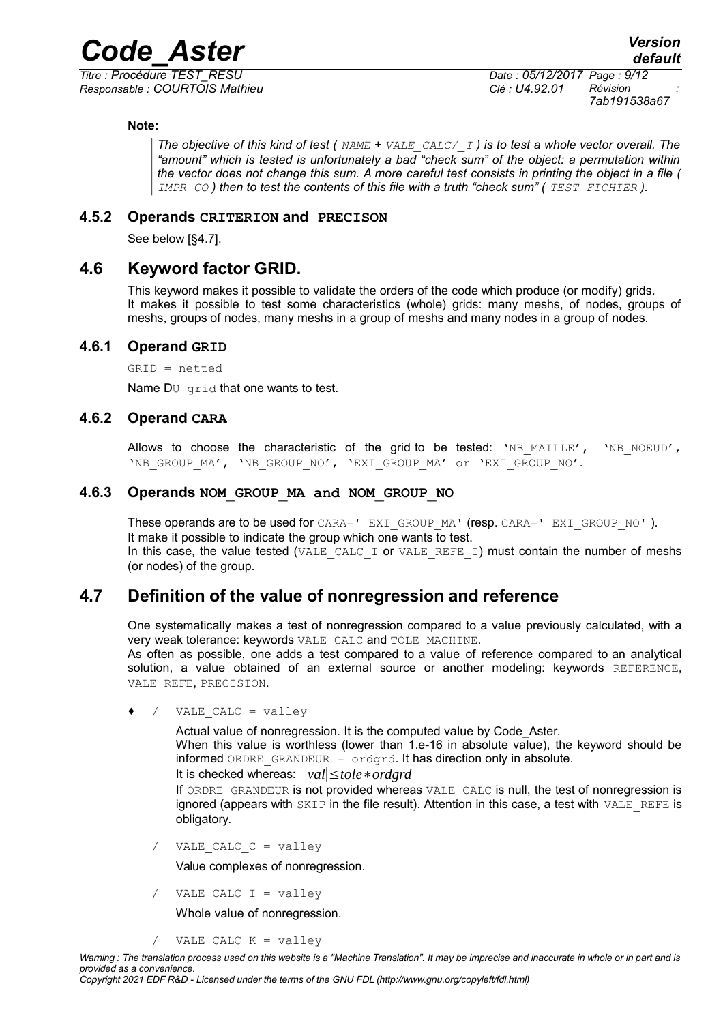*Responsable : COURTOIS Mathieu Clé : U4.92.01 Révision :*

*Titre : Procédure TEST\_RESU Date : 05/12/2017 Page : 9/12 7ab191538a67*

**Note:**

*The objective of this kind of test ( NAME + VALE\_CALC/\_I ) is to test a whole vector overall. The "amount" which is tested is unfortunately a bad "check sum" of the object: a permutation within the vector does not change this sum. A more careful test consists in printing the object in a file ( IMPR\_CO ) then to test the contents of this file with a truth "check sum" ( TEST\_FICHIER ).*

#### **4.5.2 Operands CRITERION and PRECISON**

See below [[§4.7\]](#page-8-0).

## **4.6 Keyword factor GRID.**

This keyword makes it possible to validate the orders of the code which produce (or modify) grids. It makes it possible to test some characteristics (whole) grids: many meshs, of nodes, groups of meshs, groups of nodes, many meshs in a group of meshs and many nodes in a group of nodes.

#### **4.6.1 Operand GRID**

GRID = netted

Name D<sub>U</sub> grid that one wants to test.

#### **4.6.2 Operand CARA**

Allows to choose the characteristic of the grid to be tested: 'NB MAILLE', 'NB NOEUD', 'NB\_GROUP\_MA', 'NB\_GROUP\_NO', 'EXI\_GROUP\_MA' or 'EXI\_GROUP\_NO'.

#### **4.6.3 Operands NOM\_GROUP\_MA and NOM\_GROUP\_NO**

These operands are to be used for CARA=' EXI\_GROUP\_MA' (resp. CARA=' EXI\_GROUP\_NO'). It make it possible to indicate the group which one wants to test. In this case, the value tested (VALE\_CALC\_I or VALE\_REFE\_I) must contain the number of meshs (or nodes) of the group.

## **4.7 Definition of the value of nonregression and reference**

<span id="page-8-0"></span>One systematically makes a test of nonregression compared to a value previously calculated, with a very weak tolerance: keywords VALE CALC and TOLE MACHINE. As often as possible, one adds a test compared to a value of reference compared to an analytical solution, a value obtained of an external source or another modeling: keywords REFERENCE, VALE\_REFE, PRECISION.

/ VALE CALC = valley

Actual value of nonregression. It is the computed value by Code\_Aster.

When this value is worthless (lower than 1.e-16 in absolute value), the keyword should be informed ORDRE GRANDEUR =  $\sigma$ rdgrd. It has direction only in absolute.

It is checked whereas: |*val*|≤*tole*∗*ordgrd*

If ORDRE GRANDEUR is not provided whereas VALE CALC is null, the test of nonregression is ignored (appears with  $SKIP$  in the file result). Attention in this case, a test with  $VALE$  REFE is obligatory.

VALE CALC C = valley

Value complexes of nonregression.

VALE CALC  $I = value$ 

Whole value of nonregression.

VALE CALC  $K =$  valley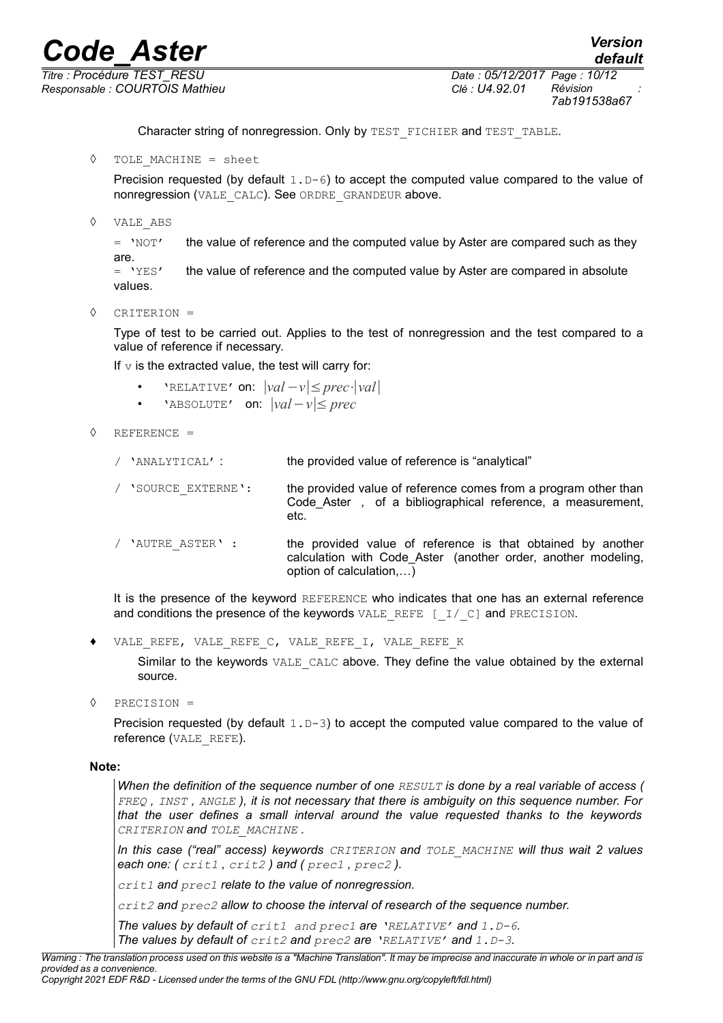*Responsable : COURTOIS Mathieu Clé : U4.92.01 Révision : 7ab191538a67*

Character string of nonregression. Only by TEST\_FICHIER and TEST\_TABLE.

◊ TOLE\_MACHINE = sheet

Precision requested (by default  $1. D-6$ ) to accept the computed value compared to the value of nonregression (VALE\_CALC). See ORDRE\_GRANDEUR above.

◊ VALE\_ABS

 $=$  'NOT' the value of reference and the computed value by Aster are compared such as they are.

 $=$  'YES' the value of reference and the computed value by Aster are compared in absolute values.

◊ CRITERION =

Type of test to be carried out. Applies to the test of nonregression and the test compared to a value of reference if necessary.

If  $v$  is the extracted value, the test will carry for:

- 'RELATIVE' on: ∣*val*−*v*∣≤*prec*⋅∣*val*∣
- 'ABSOLUTE' on: ∣*val*−*v*∣≤ *prec*
- ◊ REFERENCE =
	- / 'ANALYTICAL' : the provided value of reference is "analytical"
	- / 'SOURCE\_EXTERNE': the provided value of reference comes from a program other than Code\_Aster *,* of a bibliographical reference, a measurement, etc.
	- / 'AUTRE ASTER' : the provided value of reference is that obtained by another calculation with Code\_Aster (another order, another modeling, option of calculation,…)

It is the presence of the keyword REFERENCE who indicates that one has an external reference and conditions the presence of the keywords  $VALE$  REFE  $[I / C]$  and PRECISION.

VALE\_REFE, VALE\_REFE\_C, VALE\_REFE\_I, VALE\_REFE\_K

Similar to the keywords VALE CALC above. They define the value obtained by the external source.

◊ PRECISION =

Precision requested (by default  $1.D-3$ ) to accept the computed value compared to the value of reference (VALE\_REFE).

#### **Note:**

*When the definition of the sequence number of one RESULT is done by a real variable of access ( FREQ , INST , ANGLE ), it is not necessary that there is ambiguity on this sequence number. For that the user defines a small interval around the value requested thanks to the keywords CRITERION and TOLE\_MACHINE .*

*In this case ("real" access) keywords CRITERION and TOLE\_MACHINE will thus wait 2 values each one: ( crit1 , crit2 ) and ( prec1 , prec2 ).*

*crit1 and prec1 relate to the value of nonregression.*

*crit2 and prec2 allow to choose the interval of research of the sequence number.*

*The values by default of crit1 and prec1 are 'RELATIVE' and 1.D-6. The values by default of crit2 and prec2 are 'RELATIVE' and 1.D-3.*

*Warning : The translation process used on this website is a "Machine Translation". It may be imprecise and inaccurate in whole or in part and is provided as a convenience.*

*Copyright 2021 EDF R&D - Licensed under the terms of the GNU FDL (http://www.gnu.org/copyleft/fdl.html)*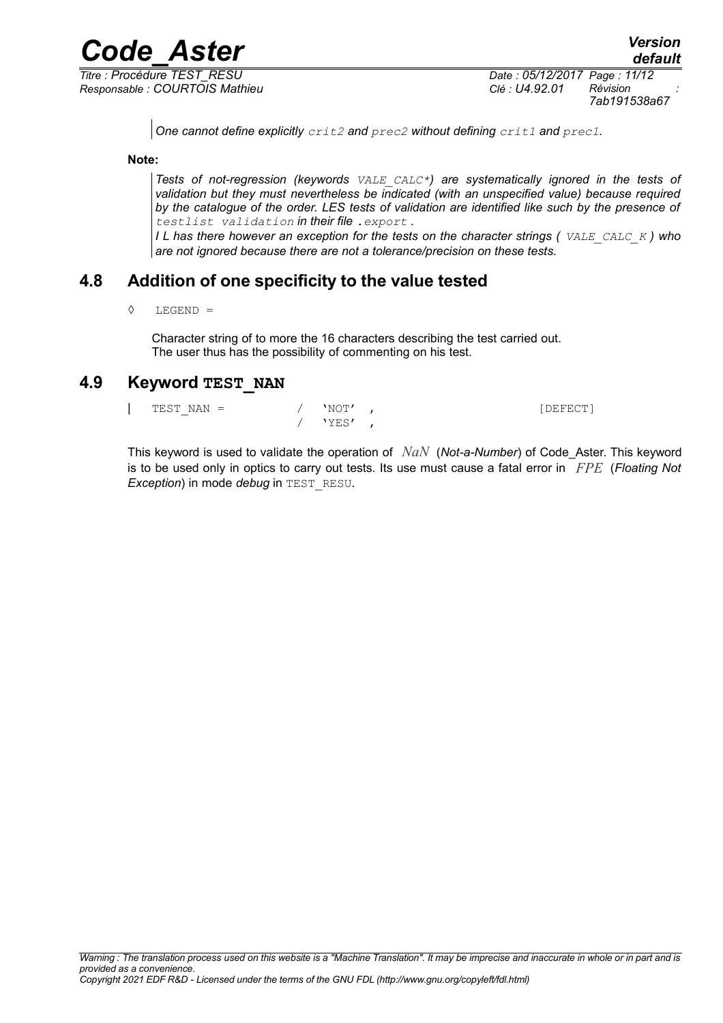*Titre : Procédure TEST\_RESU Date : 05/12/2017 Page : 11/12 Responsable : COURTOIS Mathieu Clé : U4.92.01 Révision :*

*7ab191538a67*

*One cannot define explicitly crit2 and prec2 without defining crit1 and prec1.*

**Note:**

*Tests of not-regression (keywords VALE\_CALC\*) are systematically ignored in the tests of validation but they must nevertheless be indicated (with an unspecified value) because required by the catalogue of the order. LES tests of validation are identified like such by the presence of testlist validation in their file .export .*

*I L has there however an exception for the tests on the character strings ( VALE\_CALC\_K ) who are not ignored because there are not a tolerance/precision on these tests.*

## **4.8 Addition of one specificity to the value tested**

◊ LEGEND =

Character string of to more the 16 characters describing the test carried out. The user thus has the possibility of commenting on his test.

### **4.9 Keyword TEST\_NAN**

| TEST NAN = | 'NOT' | [DEFECT] |
|------------|-------|----------|
|            | YES'  |          |

This keyword is used to validate the operation of *NaN* (*Not-a-Number*) of Code\_Aster. This keyword is to be used only in optics to carry out tests. Its use must cause a fatal error in *FPE* (*Floating Not Exception*) in mode *debug* in TEST\_RESU.